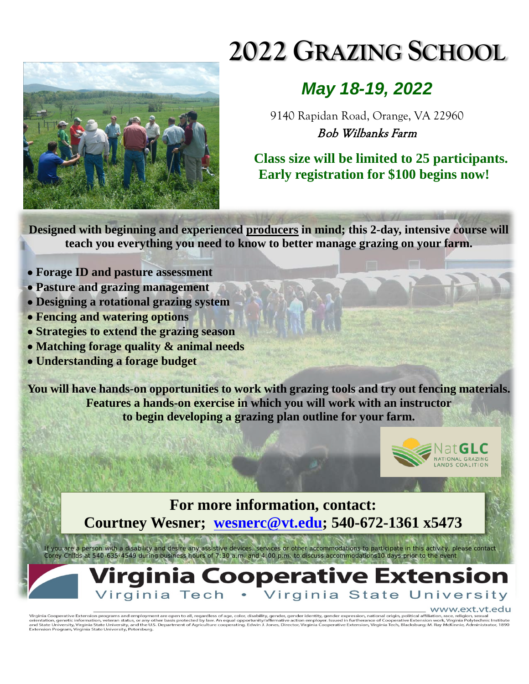

## **2022 GRAZING SCHOOL**

## *May 18-19, 2022*

9140 Rapidan Road, Orange, VA 22960 Bob Wilbanks Farm

**Class size will be limited to 25 participants. Early registration for \$100 begins now!** 

**Designed with beginning and experienced producers in mind; this 2-day, intensive course will teach you everything you need to know to better manage grazing on your farm.**

- **Forage ID and pasture assessment**
- **Pasture and grazing management**
- **Designing a rotational grazing system**
- **Fencing and watering options**
- **Strategies to extend the grazing season**
- **Matching forage quality & animal needs**
- **Understanding a forage budget**

**You will have hands-on opportunities to work with grazing tools and try out fencing materials. Features a hands-on exercise in which you will work with an instructor to begin developing a grazing plan outline for your farm.**



**For more information, contact: Courtney Wesner; [wesnerc@vt.edu;](mailto:wesnerc@vt.edu) 540-672-1361 x5473**

*If you are a person with a disability and desire any assistive devices, services or other accommodations to participate in this activity, please contact Corey Childs at 540-635-4549 during business hours of 7:30 a.m. and 4:00 p.m. to discuss accommodations10 days prior to the event*

## rginia Cooperative Extension Virginia State University Virginia Tech •

## www.ext.yt.edu

Virginia Cooperative Extension programs and employment are open to all, regardless of age, color, disability, gender, gender identity, gender expression, national origin, political affiliation, race, religion, sexual<br>orien